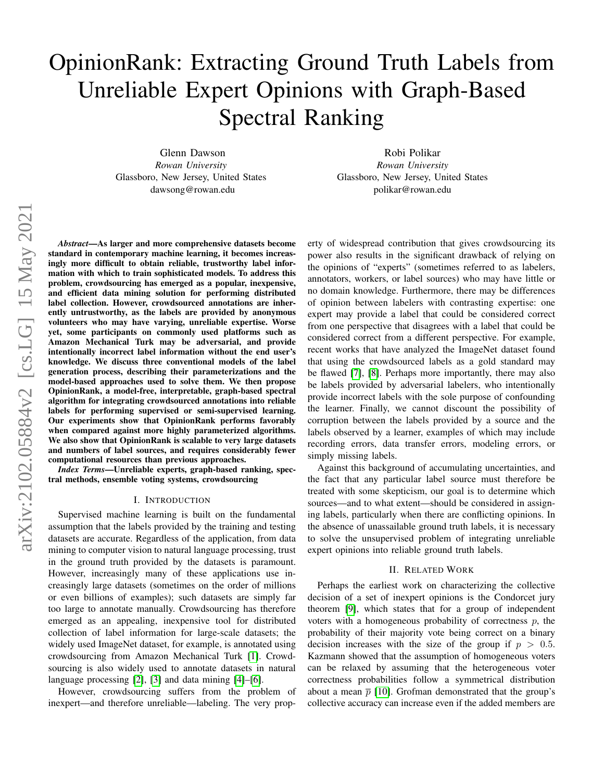# OpinionRank: Extracting Ground Truth Labels from Unreliable Expert Opinions with Graph-Based Spectral Ranking

Glenn Dawson *Rowan University* Glassboro, New Jersey, United States dawsong@rowan.edu

Robi Polikar *Rowan University* Glassboro, New Jersey, United States polikar@rowan.edu

*Abstract*—As larger and more comprehensive datasets become standard in contemporary machine learning, it becomes increasingly more difficult to obtain reliable, trustworthy label information with which to train sophisticated models. To address this problem, crowdsourcing has emerged as a popular, inexpensive, and efficient data mining solution for performing distributed label collection. However, crowdsourced annotations are inherently untrustworthy, as the labels are provided by anonymous volunteers who may have varying, unreliable expertise. Worse yet, some participants on commonly used platforms such as Amazon Mechanical Turk may be adversarial, and provide intentionally incorrect label information without the end user's knowledge. We discuss three conventional models of the label generation process, describing their parameterizations and the model-based approaches used to solve them. We then propose OpinionRank, a model-free, interpretable, graph-based spectral algorithm for integrating crowdsourced annotations into reliable labels for performing supervised or semi-supervised learning. Our experiments show that OpinionRank performs favorably when compared against more highly parameterized algorithms. We also show that OpinionRank is scalable to very large datasets and numbers of label sources, and requires considerably fewer computational resources than previous approaches.

*Index Terms*—Unreliable experts, graph-based ranking, spectral methods, ensemble voting systems, crowdsourcing

## I. INTRODUCTION

Supervised machine learning is built on the fundamental assumption that the labels provided by the training and testing datasets are accurate. Regardless of the application, from data mining to computer vision to natural language processing, trust in the ground truth provided by the datasets is paramount. However, increasingly many of these applications use increasingly large datasets (sometimes on the order of millions or even billions of examples); such datasets are simply far too large to annotate manually. Crowdsourcing has therefore emerged as an appealing, inexpensive tool for distributed collection of label information for large-scale datasets; the widely used ImageNet dataset, for example, is annotated using crowdsourcing from Amazon Mechanical Turk [\[1\]](#page-7-0). Crowdsourcing is also widely used to annotate datasets in natural language processing [\[2\]](#page-7-1), [\[3\]](#page-7-2) and data mining [\[4\]](#page-7-3)–[\[6\]](#page-7-4).

However, crowdsourcing suffers from the problem of inexpert—and therefore unreliable—labeling. The very property of widespread contribution that gives crowdsourcing its power also results in the significant drawback of relying on the opinions of "experts" (sometimes referred to as labelers, annotators, workers, or label sources) who may have little or no domain knowledge. Furthermore, there may be differences of opinion between labelers with contrasting expertise: one expert may provide a label that could be considered correct from one perspective that disagrees with a label that could be considered correct from a different perspective. For example, recent works that have analyzed the ImageNet dataset found that using the crowdsourced labels as a gold standard may be flawed [\[7\]](#page-7-5), [\[8\]](#page-7-6). Perhaps more importantly, there may also be labels provided by adversarial labelers, who intentionally provide incorrect labels with the sole purpose of confounding the learner. Finally, we cannot discount the possibility of corruption between the labels provided by a source and the labels observed by a learner, examples of which may include recording errors, data transfer errors, modeling errors, or simply missing labels.

Against this background of accumulating uncertainties, and the fact that any particular label source must therefore be treated with some skepticism, our goal is to determine which sources—and to what extent—should be considered in assigning labels, particularly when there are conflicting opinions. In the absence of unassailable ground truth labels, it is necessary to solve the unsupervised problem of integrating unreliable expert opinions into reliable ground truth labels.

#### II. RELATED WORK

Perhaps the earliest work on characterizing the collective decision of a set of inexpert opinions is the Condorcet jury theorem [\[9\]](#page-7-7), which states that for a group of independent voters with a homogeneous probability of correctness  $p$ , the probability of their majority vote being correct on a binary decision increases with the size of the group if  $p > 0.5$ . Kazmann showed that the assumption of homogeneous voters can be relaxed by assuming that the heterogeneous voter correctness probabilities follow a symmetrical distribution about a mean  $\bar{p}$  [\[10\]](#page-7-8). Grofman demonstrated that the group's collective accuracy can increase even if the added members are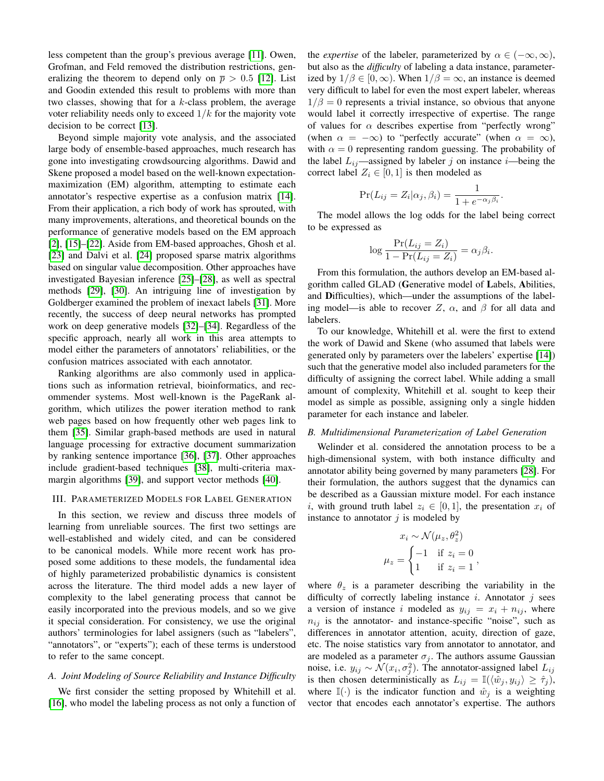less competent than the group's previous average [\[11\]](#page-7-9). Owen, Grofman, and Feld removed the distribution restrictions, generalizing the theorem to depend only on  $\bar{p} > 0.5$  [\[12\]](#page-7-10). List and Goodin extended this result to problems with more than two classes, showing that for a  $k$ -class problem, the average voter reliability needs only to exceed  $1/k$  for the majority vote decision to be correct [\[13\]](#page-7-11).

Beyond simple majority vote analysis, and the associated large body of ensemble-based approaches, much research has gone into investigating crowdsourcing algorithms. Dawid and Skene proposed a model based on the well-known expectationmaximization (EM) algorithm, attempting to estimate each annotator's respective expertise as a confusion matrix [\[14\]](#page-7-12). From their application, a rich body of work has sprouted, with many improvements, alterations, and theoretical bounds on the performance of generative models based on the EM approach [\[2\]](#page-7-1), [\[15\]](#page-7-13)–[\[22\]](#page-7-14). Aside from EM-based approaches, Ghosh et al. [\[23\]](#page-7-15) and Dalvi et al. [\[24\]](#page-7-16) proposed sparse matrix algorithms based on singular value decomposition. Other approaches have investigated Bayesian inference [\[25\]](#page-7-17)–[\[28\]](#page-7-18), as well as spectral methods [\[29\]](#page-7-19), [\[30\]](#page-7-20). An intriguing line of investigation by Goldberger examined the problem of inexact labels [\[31\]](#page-7-21). More recently, the success of deep neural networks has prompted work on deep generative models [\[32\]](#page-7-22)–[\[34\]](#page-7-23). Regardless of the specific approach, nearly all work in this area attempts to model either the parameters of annotators' reliabilities, or the confusion matrices associated with each annotator.

Ranking algorithms are also commonly used in applications such as information retrieval, bioinformatics, and recommender systems. Most well-known is the PageRank algorithm, which utilizes the power iteration method to rank web pages based on how frequently other web pages link to them [\[35\]](#page-7-24). Similar graph-based methods are used in natural language processing for extractive document summarization by ranking sentence importance [\[36\]](#page-7-25), [\[37\]](#page-7-26). Other approaches include gradient-based techniques [\[38\]](#page-7-27), multi-criteria maxmargin algorithms [\[39\]](#page-7-28), and support vector methods [\[40\]](#page-7-29).

## <span id="page-1-0"></span>III. PARAMETERIZED MODELS FOR LABEL GENERATION

In this section, we review and discuss three models of learning from unreliable sources. The first two settings are well-established and widely cited, and can be considered to be canonical models. While more recent work has proposed some additions to these models, the fundamental idea of highly parameterized probabilistic dynamics is consistent across the literature. The third model adds a new layer of complexity to the label generating process that cannot be easily incorporated into the previous models, and so we give it special consideration. For consistency, we use the original authors' terminologies for label assigners (such as "labelers", "annotators", or "experts"); each of these terms is understood to refer to the same concept.

## <span id="page-1-1"></span>*A. Joint Modeling of Source Reliability and Instance Difficulty*

We first consider the setting proposed by Whitehill et al. [\[16\]](#page-7-30), who model the labeling process as not only a function of the *expertise* of the labeler, parameterized by  $\alpha \in (-\infty, \infty)$ , but also as the *difficulty* of labeling a data instance, parameterized by  $1/\beta \in [0,\infty)$ . When  $1/\beta = \infty$ , an instance is deemed very difficult to label for even the most expert labeler, whereas  $1/\beta = 0$  represents a trivial instance, so obvious that anyone would label it correctly irrespective of expertise. The range of values for  $\alpha$  describes expertise from "perfectly wrong" (when  $\alpha = -\infty$ ) to "perfectly accurate" (when  $\alpha = \infty$ ), with  $\alpha = 0$  representing random guessing. The probability of the label  $L_{ij}$ —assigned by labeler j on instance i—being the correct label  $Z_i \in [0,1]$  is then modeled as

$$
\Pr(L_{ij} = Z_i | \alpha_j, \beta_i) = \frac{1}{1 + e^{-\alpha_j \beta_i}}.
$$

The model allows the log odds for the label being correct to be expressed as

$$
\log \frac{\Pr(L_{ij} = Z_i)}{1 - \Pr(L_{ij} = Z_i)} = \alpha_j \beta_i.
$$

From this formulation, the authors develop an EM-based algorithm called GLAD (Generative model of Labels, Abilities, and Difficulties), which—under the assumptions of the labeling model—is able to recover Z,  $\alpha$ , and  $\beta$  for all data and labelers.

To our knowledge, Whitehill et al. were the first to extend the work of Dawid and Skene (who assumed that labels were generated only by parameters over the labelers' expertise [\[14\]](#page-7-12)) such that the generative model also included parameters for the difficulty of assigning the correct label. While adding a small amount of complexity, Whitehill et al. sought to keep their model as simple as possible, assigning only a single hidden parameter for each instance and labeler.

#### <span id="page-1-2"></span>*B. Multidimensional Parameterization of Label Generation*

Welinder et al. considered the annotation process to be a high-dimensional system, with both instance difficulty and annotator ability being governed by many parameters [\[28\]](#page-7-18). For their formulation, the authors suggest that the dynamics can be described as a Gaussian mixture model. For each instance i, with ground truth label  $z_i \in [0,1]$ , the presentation  $x_i$  of instance to annotator  $j$  is modeled by

$$
x_i \sim \mathcal{N}(\mu_z, \theta_z^2)
$$

$$
\mu_z = \begin{cases} -1 & \text{if } z_i = 0 \\ 1 & \text{if } z_i = 1 \end{cases},
$$

where  $\theta_z$  is a parameter describing the variability in the difficulty of correctly labeling instance  $i$ . Annotator  $j$  sees a version of instance i modeled as  $y_{ij} = x_i + n_{ij}$ , where  $n_{ij}$  is the annotator- and instance-specific "noise", such as differences in annotator attention, acuity, direction of gaze, etc. The noise statistics vary from annotator to annotator, and are modeled as a parameter  $\sigma_i$ . The authors assume Gaussian noise, i.e.  $y_{ij} \sim \mathcal{N}(x_i, \sigma_j^2)$ . The annotator-assigned label  $L_{ij}$ is then chosen deterministically as  $L_{ij} = \mathbb{I}(\langle \hat{w}_j, y_{ij} \rangle \geq \hat{\tau}_j)$ , where  $\mathbb{I}(\cdot)$  is the indicator function and  $\hat{w}_i$  is a weighting vector that encodes each annotator's expertise. The authors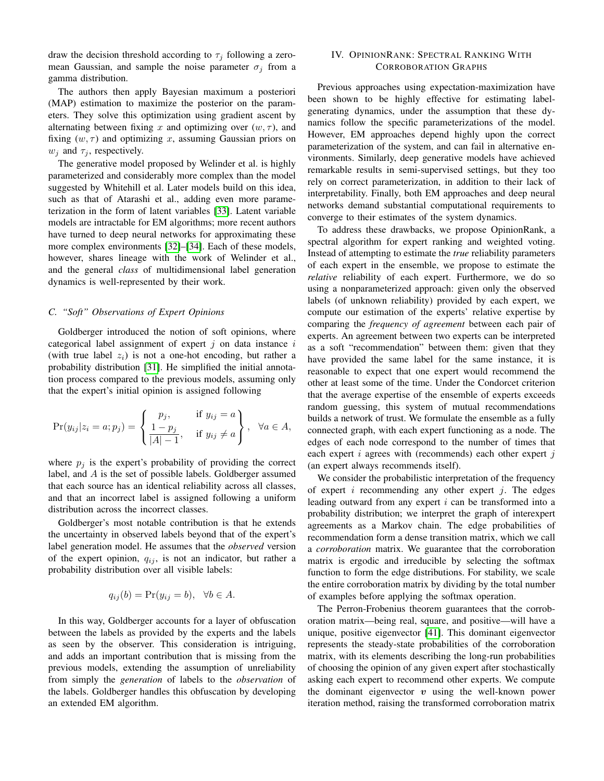draw the decision threshold according to  $\tau_j$  following a zeromean Gaussian, and sample the noise parameter  $\sigma_i$  from a gamma distribution.

The authors then apply Bayesian maximum a posteriori (MAP) estimation to maximize the posterior on the parameters. They solve this optimization using gradient ascent by alternating between fixing x and optimizing over  $(w, \tau)$ , and fixing  $(w, \tau)$  and optimizing x, assuming Gaussian priors on  $w_j$  and  $\tau_j$ , respectively.

The generative model proposed by Welinder et al. is highly parameterized and considerably more complex than the model suggested by Whitehill et al. Later models build on this idea, such as that of Atarashi et al., adding even more parameterization in the form of latent variables [\[33\]](#page-7-31). Latent variable models are intractable for EM algorithms; more recent authors have turned to deep neural networks for approximating these more complex environments [\[32\]](#page-7-22)–[\[34\]](#page-7-23). Each of these models, however, shares lineage with the work of Welinder et al., and the general *class* of multidimensional label generation dynamics is well-represented by their work.

#### <span id="page-2-0"></span>*C. "Soft" Observations of Expert Opinions*

Goldberger introduced the notion of soft opinions, where categorical label assignment of expert  $j$  on data instance  $i$ (with true label  $z_i$ ) is not a one-hot encoding, but rather a probability distribution [\[31\]](#page-7-21). He simplified the initial annotation process compared to the previous models, assuming only that the expert's initial opinion is assigned following

$$
\Pr(y_{ij}|z_i=a; p_j) = \left\{\begin{matrix}p_j, & \text{if } y_{ij}=a\\ \frac{1-p_j}{|A|-1}, & \text{if } y_{ij}\neq a\end{matrix}\right\}, \quad \forall a \in A,
$$

where  $p_j$  is the expert's probability of providing the correct label, and A is the set of possible labels. Goldberger assumed that each source has an identical reliability across all classes, and that an incorrect label is assigned following a uniform distribution across the incorrect classes.

Goldberger's most notable contribution is that he extends the uncertainty in observed labels beyond that of the expert's label generation model. He assumes that the *observed* version of the expert opinion,  $q_{ij}$ , is not an indicator, but rather a probability distribution over all visible labels:

$$
q_{ij}(b) = \Pr(y_{ij} = b), \forall b \in A.
$$

In this way, Goldberger accounts for a layer of obfuscation between the labels as provided by the experts and the labels as seen by the observer. This consideration is intriguing, and adds an important contribution that is missing from the previous models, extending the assumption of unreliability from simply the *generation* of labels to the *observation* of the labels. Goldberger handles this obfuscation by developing an extended EM algorithm.

## IV. OPINIONRANK: SPECTRAL RANKING WITH CORROBORATION GRAPHS

Previous approaches using expectation-maximization have been shown to be highly effective for estimating labelgenerating dynamics, under the assumption that these dynamics follow the specific parameterizations of the model. However, EM approaches depend highly upon the correct parameterization of the system, and can fail in alternative environments. Similarly, deep generative models have achieved remarkable results in semi-supervised settings, but they too rely on correct parameterization, in addition to their lack of interpretability. Finally, both EM approaches and deep neural networks demand substantial computational requirements to converge to their estimates of the system dynamics.

To address these drawbacks, we propose OpinionRank, a spectral algorithm for expert ranking and weighted voting. Instead of attempting to estimate the *true* reliability parameters of each expert in the ensemble, we propose to estimate the *relative* reliability of each expert. Furthermore, we do so using a nonparameterized approach: given only the observed labels (of unknown reliability) provided by each expert, we compute our estimation of the experts' relative expertise by comparing the *frequency of agreement* between each pair of experts. An agreement between two experts can be interpreted as a soft "recommendation" between them: given that they have provided the same label for the same instance, it is reasonable to expect that one expert would recommend the other at least some of the time. Under the Condorcet criterion that the average expertise of the ensemble of experts exceeds random guessing, this system of mutual recommendations builds a network of trust. We formulate the ensemble as a fully connected graph, with each expert functioning as a node. The edges of each node correspond to the number of times that each expert  $i$  agrees with (recommends) each other expert  $j$ (an expert always recommends itself).

We consider the probabilistic interpretation of the frequency of expert  $i$  recommending any other expert  $j$ . The edges leading outward from any expert i can be transformed into a probability distribution; we interpret the graph of interexpert agreements as a Markov chain. The edge probabilities of recommendation form a dense transition matrix, which we call a *corroboration* matrix. We guarantee that the corroboration matrix is ergodic and irreducible by selecting the softmax function to form the edge distributions. For stability, we scale the entire corroboration matrix by dividing by the total number of examples before applying the softmax operation.

The Perron-Frobenius theorem guarantees that the corroboration matrix—being real, square, and positive—will have a unique, positive eigenvector [\[41\]](#page-7-32). This dominant eigenvector represents the steady-state probabilities of the corroboration matrix, with its elements describing the long-run probabilities of choosing the opinion of any given expert after stochastically asking each expert to recommend other experts. We compute the dominant eigenvector  $v$  using the well-known power iteration method, raising the transformed corroboration matrix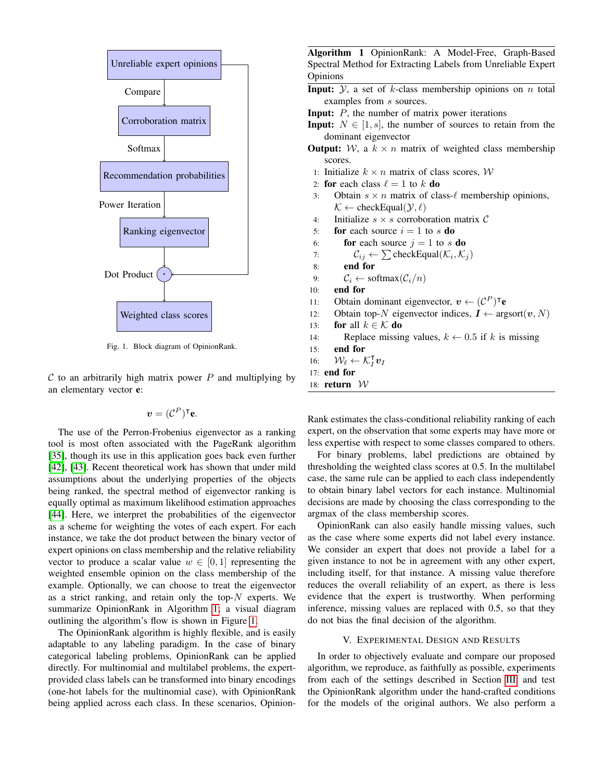

<span id="page-3-1"></span>Fig. 1. Block diagram of OpinionRank.

 $C$  to an arbitrarily high matrix power  $P$  and multiplying by an elementary vector e:

$$
\boldsymbol{v} = (\mathcal{C}^P)^{\intercal} \mathbf{e}.
$$

The use of the Perron-Frobenius eigenvector as a ranking tool is most often associated with the PageRank algorithm [\[35\]](#page-7-24), though its use in this application goes back even further [\[42\]](#page-7-33), [\[43\]](#page-7-34). Recent theoretical work has shown that under mild assumptions about the underlying properties of the objects being ranked, the spectral method of eigenvector ranking is equally optimal as maximum likelihood estimation approaches [\[44\]](#page-7-35). Here, we interpret the probabilities of the eigenvector as a scheme for weighting the votes of each expert. For each instance, we take the dot product between the binary vector of expert opinions on class membership and the relative reliability vector to produce a scalar value  $w \in [0, 1]$  representing the weighted ensemble opinion on the class membership of the example. Optionally, we can choose to treat the eigenvector as a strict ranking, and retain only the top- $N$  experts. We summarize OpinionRank in Algorithm [1;](#page-3-0) a visual diagram outlining the algorithm's flow is shown in Figure [1.](#page-3-1)

The OpinionRank algorithm is highly flexible, and is easily adaptable to any labeling paradigm. In the case of binary categorical labeling problems, OpinionRank can be applied directly. For multinomial and multilabel problems, the expertprovided class labels can be transformed into binary encodings (one-hot labels for the multinomial case), with OpinionRank being applied across each class. In these scenarios, Opinion-

<span id="page-3-0"></span>Algorithm 1 OpinionRank: A Model-Free, Graph-Based Spectral Method for Extracting Labels from Unreliable Expert Opinions

- **Input:**  $\mathcal{Y}$ , a set of k-class membership opinions on n total examples from s sources.
- **Input:**  $P$ , the number of matrix power iterations
- **Input:**  $N \in [1, s]$ , the number of sources to retain from the dominant eigenvector
- **Output:** W, a  $k \times n$  matrix of weighted class membership scores.
- 1: Initialize  $k \times n$  matrix of class scores,  $W$
- 2: for each class  $\ell = 1$  to k do
- 3: Obtain  $s \times n$  matrix of class- $\ell$  membership opinions,  $\mathcal{K} \leftarrow$  checkEqual( $\mathcal{Y}, \ell$ )
- 4: Initialize  $s \times s$  corroboration matrix  $\mathcal C$
- 5: **for** each source  $i = 1$  to s **do**
- 6: **for** each source  $j = 1$  to s **do**
- 7:  $\mathcal{C}_{ij} \leftarrow \sum \text{checkEqual}(\mathcal{K}_i, \mathcal{K}_j)$
- 8: end for
- 9:  $\mathcal{C}_i \leftarrow \text{softmax}(\mathcal{C}_i/n)$
- 10: end for
- 11: Obtain dominant eigenvector,  $v \leftarrow (\mathcal{C}^P)^\intercal e$
- 12: Obtain top-N eigenvector indices,  $I \leftarrow \text{argsort}(v, N)$
- 13: **for** all  $k \in \mathcal{K}$  **do**
- 14: Replace missing values,  $k \leftarrow 0.5$  if k is missing
- 15: end for
- 16:  $\mathcal{W}_{\ell} \leftarrow \mathcal{K}_{I}^{\mathsf{T}} \boldsymbol{v}_{I}$
- 17: end for
- 18: return  $W$

Rank estimates the class-conditional reliability ranking of each expert, on the observation that some experts may have more or less expertise with respect to some classes compared to others.

For binary problems, label predictions are obtained by thresholding the weighted class scores at 0.5. In the multilabel case, the same rule can be applied to each class independently to obtain binary label vectors for each instance. Multinomial decisions are made by choosing the class corresponding to the argmax of the class membership scores.

OpinionRank can also easily handle missing values, such as the case where some experts did not label every instance. We consider an expert that does not provide a label for a given instance to not be in agreement with any other expert, including itself, for that instance. A missing value therefore reduces the overall reliability of an expert, as there is less evidence that the expert is trustworthy. When performing inference, missing values are replaced with 0.5, so that they do not bias the final decision of the algorithm.

## V. EXPERIMENTAL DESIGN AND RESULTS

In order to objectively evaluate and compare our proposed algorithm, we reproduce, as faithfully as possible, experiments from each of the settings described in Section [III,](#page-1-0) and test the OpinionRank algorithm under the hand-crafted conditions for the models of the original authors. We also perform a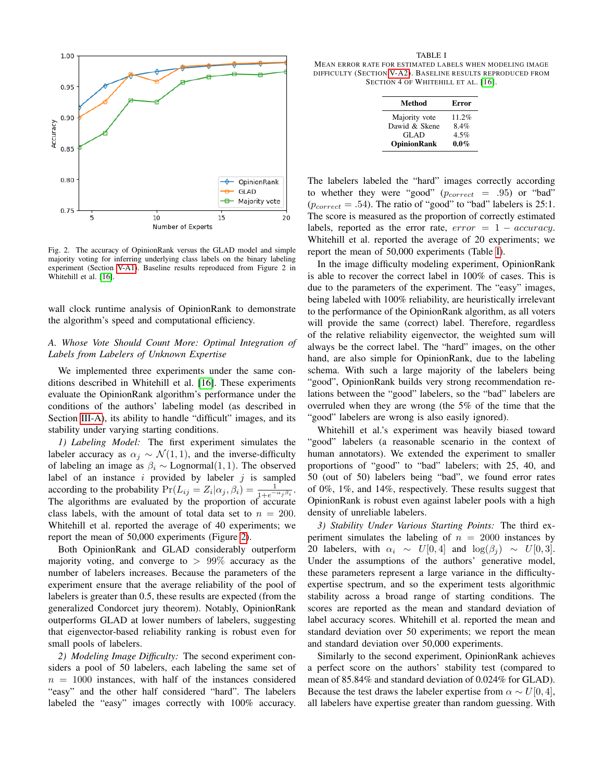

<span id="page-4-1"></span>Fig. 2. The accuracy of OpinionRank versus the GLAD model and simple majority voting for inferring underlying class labels on the binary labeling experiment (Section [V-A1\)](#page-4-0). Baseline results reproduced from Figure 2 in Whitehill et al. [\[16\]](#page-7-30).

wall clock runtime analysis of OpinionRank to demonstrate the algorithm's speed and computational efficiency.

## *A. Whose Vote Should Count More: Optimal Integration of Labels from Labelers of Unknown Expertise*

We implemented three experiments under the same conditions described in Whitehill et al. [\[16\]](#page-7-30). These experiments evaluate the OpinionRank algorithm's performance under the conditions of the authors' labeling model (as described in Section [III-A\)](#page-1-1), its ability to handle "difficult" images, and its stability under varying starting conditions.

<span id="page-4-0"></span>*1) Labeling Model:* The first experiment simulates the labeler accuracy as  $\alpha_i \sim \mathcal{N}(1, 1)$ , and the inverse-difficulty of labeling an image as  $\beta_i$  ∼ Lognormal(1, 1). The observed label of an instance  $i$  provided by labeler  $j$  is sampled according to the probability  $Pr(L_{ij} = Z_i | \alpha_j, \beta_i) = \frac{1}{1 + e^{-\alpha_j \beta_i}}$ . The algorithms are evaluated by the proportion of accurate class labels, with the amount of total data set to  $n = 200$ . Whitehill et al. reported the average of 40 experiments; we report the mean of 50,000 experiments (Figure [2\)](#page-4-1).

Both OpinionRank and GLAD considerably outperform majority voting, and converge to  $> 99\%$  accuracy as the number of labelers increases. Because the parameters of the experiment ensure that the average reliability of the pool of labelers is greater than 0.5, these results are expected (from the generalized Condorcet jury theorem). Notably, OpinionRank outperforms GLAD at lower numbers of labelers, suggesting that eigenvector-based reliability ranking is robust even for small pools of labelers.

<span id="page-4-2"></span>*2) Modeling Image Difficulty:* The second experiment considers a pool of 50 labelers, each labeling the same set of  $n = 1000$  instances, with half of the instances considered "easy" and the other half considered "hard". The labelers labeled the "easy" images correctly with 100% accuracy.

<span id="page-4-3"></span>TABLE I MEAN ERROR RATE FOR ESTIMATED LABELS WHEN MODELING IMAGE DIFFICULTY (SECTION [V-A2\)](#page-4-2). BASELINE RESULTS REPRODUCED FROM SECTION 4 OF WHITEHILL ET AL. [\[16\]](#page-7-30).

| Method             | Error   |
|--------------------|---------|
| Majority vote      | 11.2%   |
| Dawid & Skene      | $8.4\%$ |
| <b>GLAD</b>        | 4.5%    |
| <b>OpinionRank</b> | $0.0\%$ |

The labelers labeled the "hard" images correctly according to whether they were "good"  $(p_{correct} = .95)$  or "bad"  $(p_{correct} = .54)$ . The ratio of "good" to "bad" labelers is 25:1. The score is measured as the proportion of correctly estimated labels, reported as the error rate,  $error = 1 - accuracy$ . Whitehill et al. reported the average of 20 experiments; we report the mean of 50,000 experiments (Table [I\)](#page-4-3).

In the image difficulty modeling experiment, OpinionRank is able to recover the correct label in 100% of cases. This is due to the parameters of the experiment. The "easy" images, being labeled with 100% reliability, are heuristically irrelevant to the performance of the OpinionRank algorithm, as all voters will provide the same (correct) label. Therefore, regardless of the relative reliability eigenvector, the weighted sum will always be the correct label. The "hard" images, on the other hand, are also simple for OpinionRank, due to the labeling schema. With such a large majority of the labelers being "good", OpinionRank builds very strong recommendation relations between the "good" labelers, so the "bad" labelers are overruled when they are wrong (the 5% of the time that the "good" labelers are wrong is also easily ignored).

Whitehill et al.'s experiment was heavily biased toward "good" labelers (a reasonable scenario in the context of human annotators). We extended the experiment to smaller proportions of "good" to "bad" labelers; with 25, 40, and 50 (out of 50) labelers being "bad", we found error rates of 0%, 1%, and 14%, respectively. These results suggest that OpinionRank is robust even against labeler pools with a high density of unreliable labelers.

*3) Stability Under Various Starting Points:* The third experiment simulates the labeling of  $n = 2000$  instances by 20 labelers, with  $\alpha_i \sim U[0, 4]$  and  $\log(\beta_i) \sim U[0, 3]$ . Under the assumptions of the authors' generative model, these parameters represent a large variance in the difficultyexpertise spectrum, and so the experiment tests algorithmic stability across a broad range of starting conditions. The scores are reported as the mean and standard deviation of label accuracy scores. Whitehill et al. reported the mean and standard deviation over 50 experiments; we report the mean and standard deviation over 50,000 experiments.

Similarly to the second experiment, OpinionRank achieves a perfect score on the authors' stability test (compared to mean of 85.84% and standard deviation of 0.024% for GLAD). Because the test draws the labeler expertise from  $\alpha \sim U[0, 4]$ , all labelers have expertise greater than random guessing. With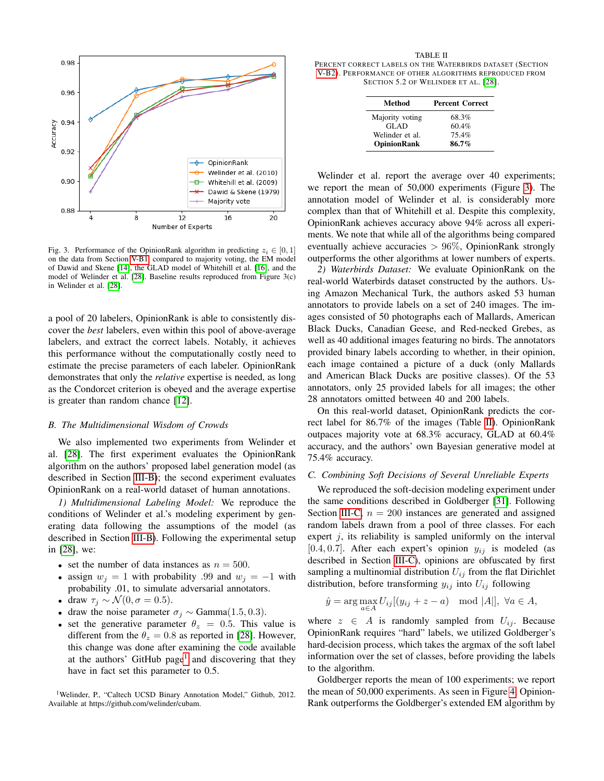

<span id="page-5-3"></span>Fig. 3. Performance of the OpinionRank algorithm in predicting  $z_i \in [0, 1]$ on the data from Section [V-B1,](#page-5-0) compared to majority voting, the EM model of Dawid and Skene [\[14\]](#page-7-12), the GLAD model of Whitehill et al. [\[16\]](#page-7-30), and the model of Welinder et al. [\[28\]](#page-7-18). Baseline results reproduced from Figure 3(c) in Welinder et al. [\[28\]](#page-7-18).

a pool of 20 labelers, OpinionRank is able to consistently discover the *best* labelers, even within this pool of above-average labelers, and extract the correct labels. Notably, it achieves this performance without the computationally costly need to estimate the precise parameters of each labeler. OpinionRank demonstrates that only the *relative* expertise is needed, as long as the Condorcet criterion is obeyed and the average expertise is greater than random chance [\[12\]](#page-7-10).

## *B. The Multidimensional Wisdom of Crowds*

We also implemented two experiments from Welinder et al. [\[28\]](#page-7-18). The first experiment evaluates the OpinionRank algorithm on the authors' proposed label generation model (as described in Section [III-B\)](#page-1-2); the second experiment evaluates OpinionRank on a real-world dataset of human annotations.

<span id="page-5-0"></span>*1) Multidimensional Labeling Model:* We reproduce the conditions of Welinder et al.'s modeling experiment by generating data following the assumptions of the model (as described in Section [III-B\)](#page-1-2). Following the experimental setup in [\[28\]](#page-7-18), we:

- set the number of data instances as  $n = 500$ .
- assign  $w_i = 1$  with probability .99 and  $w_i = -1$  with probability .01, to simulate adversarial annotators.
- draw  $\tau_i \sim \mathcal{N}(0, \sigma = 0.5)$ .
- draw the noise parameter  $\sigma_j \sim \text{Gamma}(1.5, 0.3)$ .
- set the generative parameter  $\theta_z = 0.5$ . This value is different from the  $\theta_z = 0.8$  as reported in [\[28\]](#page-7-18). However, this change was done after examining the code available at the authors' GitHub page<sup>[1](#page-5-1)</sup> and discovering that they have in fact set this parameter to 0.5.

<span id="page-5-1"></span><sup>1</sup>Welinder, P., "Caltech UCSD Binary Annotation Model," Github, 2012. Available at https://github.com/welinder/cubam.

<span id="page-5-4"></span>TABLE II PERCENT CORRECT LABELS ON THE WATERBIRDS DATASET (SECTION [V-B2\)](#page-5-2). PERFORMANCE OF OTHER ALGORITHMS REPRODUCED FROM SECTION 5.2 OF WELINDER ET AL. [\[28\]](#page-7-18).

| Method             | <b>Percent Correct</b> |
|--------------------|------------------------|
| Majority voting    | 68.3%                  |
| <b>GLAD</b>        | 60.4%                  |
| Welinder et al.    | 75.4%                  |
| <b>OpinionRank</b> | 86.7%                  |

Welinder et al. report the average over 40 experiments; we report the mean of 50,000 experiments (Figure [3\)](#page-5-3). The annotation model of Welinder et al. is considerably more complex than that of Whitehill et al. Despite this complexity, OpinionRank achieves accuracy above 94% across all experiments. We note that while all of the algorithms being compared eventually achieve accuracies  $> 96\%$ , OpinionRank strongly outperforms the other algorithms at lower numbers of experts.

<span id="page-5-2"></span>*2) Waterbirds Dataset:* We evaluate OpinionRank on the real-world Waterbirds dataset constructed by the authors. Using Amazon Mechanical Turk, the authors asked 53 human annotators to provide labels on a set of 240 images. The images consisted of 50 photographs each of Mallards, American Black Ducks, Canadian Geese, and Red-necked Grebes, as well as 40 additional images featuring no birds. The annotators provided binary labels according to whether, in their opinion, each image contained a picture of a duck (only Mallards and American Black Ducks are positive classes). Of the 53 annotators, only 25 provided labels for all images; the other 28 annotators omitted between 40 and 200 labels.

On this real-world dataset, OpinionRank predicts the correct label for 86.7% of the images (Table [II\)](#page-5-4). OpinionRank outpaces majority vote at 68.3% accuracy, GLAD at 60.4% accuracy, and the authors' own Bayesian generative model at 75.4% accuracy.

## <span id="page-5-5"></span>*C. Combining Soft Decisions of Several Unreliable Experts*

We reproduced the soft-decision modeling experiment under the same conditions described in Goldberger [\[31\]](#page-7-21). Following Section [III-C,](#page-2-0)  $n = 200$  instances are generated and assigned random labels drawn from a pool of three classes. For each expert  $j$ , its reliability is sampled uniformly on the interval [0.4, 0.7]. After each expert's opinion  $y_{ij}$  is modeled (as described in Section [III-C\)](#page-2-0), opinions are obfuscated by first sampling a multinomial distribution  $U_{ij}$  from the flat Dirichlet distribution, before transforming  $y_{ij}$  into  $U_{ij}$  following

$$
\hat{y} = \arg\max_{a \in A} U_{ij} [(y_{ij} + z - a) \mod |A|], \ \forall a \in A,
$$

where  $z \in A$  is randomly sampled from  $U_{ij}$ . Because OpinionRank requires "hard" labels, we utilized Goldberger's hard-decision process, which takes the argmax of the soft label information over the set of classes, before providing the labels to the algorithm.

Goldberger reports the mean of 100 experiments; we report the mean of 50,000 experiments. As seen in Figure [4,](#page-6-0) Opinion-Rank outperforms the Goldberger's extended EM algorithm by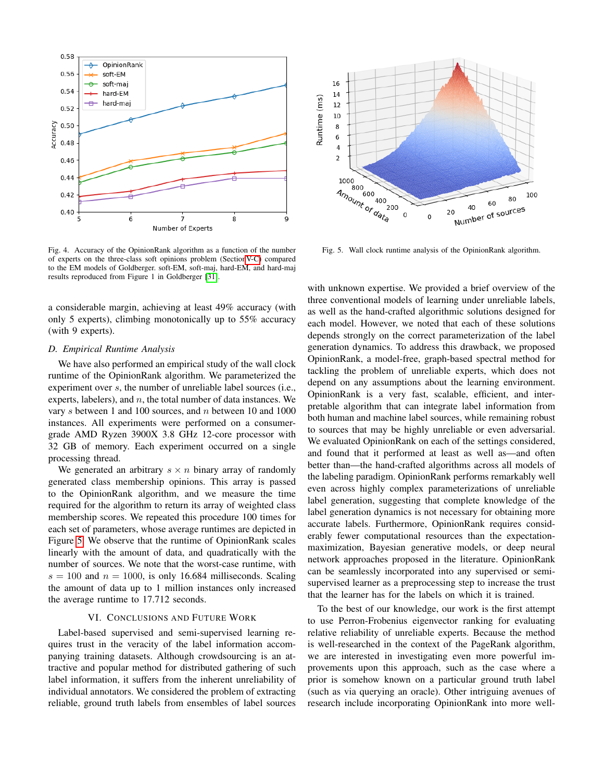

<span id="page-6-0"></span>Fig. 4. Accuracy of the OpinionRank algorithm as a function of the number of experts on the three-class soft opinions problem (Sectio[nV-C\)](#page-5-5) compared to the EM models of Goldberger. soft-EM, soft-maj, hard-EM, and hard-maj results reproduced from Figure 1 in Goldberger [\[31\]](#page-7-21).

a considerable margin, achieving at least 49% accuracy (with only 5 experts), climbing monotonically up to 55% accuracy (with 9 experts).

#### *D. Empirical Runtime Analysis*

We have also performed an empirical study of the wall clock runtime of the OpinionRank algorithm. We parameterized the experiment over s, the number of unreliable label sources (i.e., experts, labelers), and  $n$ , the total number of data instances. We vary s between 1 and 100 sources, and n between 10 and 1000 instances. All experiments were performed on a consumergrade AMD Ryzen 3900X 3.8 GHz 12-core processor with 32 GB of memory. Each experiment occurred on a single processing thread.

We generated an arbitrary  $s \times n$  binary array of randomly generated class membership opinions. This array is passed to the OpinionRank algorithm, and we measure the time required for the algorithm to return its array of weighted class membership scores. We repeated this procedure 100 times for each set of parameters, whose average runtimes are depicted in Figure [5.](#page-6-1) We observe that the runtime of OpinionRank scales linearly with the amount of data, and quadratically with the number of sources. We note that the worst-case runtime, with  $s = 100$  and  $n = 1000$ , is only 16.684 milliseconds. Scaling the amount of data up to 1 million instances only increased the average runtime to 17.712 seconds.

#### VI. CONCLUSIONS AND FUTURE WORK

Label-based supervised and semi-supervised learning requires trust in the veracity of the label information accompanying training datasets. Although crowdsourcing is an attractive and popular method for distributed gathering of such label information, it suffers from the inherent unreliability of individual annotators. We considered the problem of extracting reliable, ground truth labels from ensembles of label sources



<span id="page-6-1"></span>Fig. 5. Wall clock runtime analysis of the OpinionRank algorithm.

with unknown expertise. We provided a brief overview of the three conventional models of learning under unreliable labels, as well as the hand-crafted algorithmic solutions designed for each model. However, we noted that each of these solutions depends strongly on the correct parameterization of the label generation dynamics. To address this drawback, we proposed OpinionRank, a model-free, graph-based spectral method for tackling the problem of unreliable experts, which does not depend on any assumptions about the learning environment. OpinionRank is a very fast, scalable, efficient, and interpretable algorithm that can integrate label information from both human and machine label sources, while remaining robust to sources that may be highly unreliable or even adversarial. We evaluated OpinionRank on each of the settings considered, and found that it performed at least as well as—and often better than—the hand-crafted algorithms across all models of the labeling paradigm. OpinionRank performs remarkably well even across highly complex parameterizations of unreliable label generation, suggesting that complete knowledge of the label generation dynamics is not necessary for obtaining more accurate labels. Furthermore, OpinionRank requires considerably fewer computational resources than the expectationmaximization, Bayesian generative models, or deep neural network approaches proposed in the literature. OpinionRank can be seamlessly incorporated into any supervised or semisupervised learner as a preprocessing step to increase the trust that the learner has for the labels on which it is trained.

To the best of our knowledge, our work is the first attempt to use Perron-Frobenius eigenvector ranking for evaluating relative reliability of unreliable experts. Because the method is well-researched in the context of the PageRank algorithm, we are interested in investigating even more powerful improvements upon this approach, such as the case where a prior is somehow known on a particular ground truth label (such as via querying an oracle). Other intriguing avenues of research include incorporating OpinionRank into more well